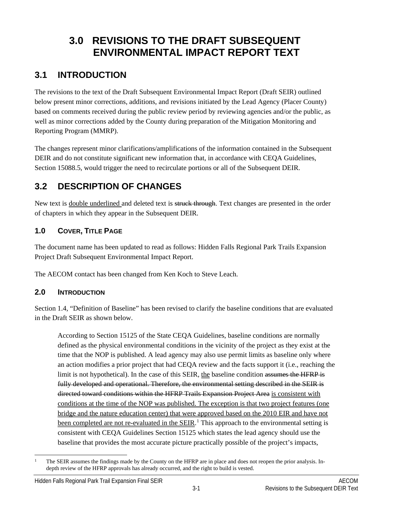# <span id="page-0-1"></span>**3.0 REVISIONS TO THE DRAFT SUBSEQUENT ENVIRONMENTAL IMPACT REPORT TEXT**

## <span id="page-0-2"></span>**3.1 INTRODUCTION**

The revisions to the text of the Draft Subsequent Environmental Impact Report (Draft SEIR) outlined below present minor corrections, additions, and revisions initiated by the Lead Agency (Placer County) based on comments received during the public review period by reviewing agencies and/or the public, as well as minor corrections added by the County during preparation of the Mitigation Monitoring and Reporting Program (MMRP).

The changes represent minor clarifications/amplifications of the information contained in the Subsequent DEIR and do not constitute significant new information that, in accordance with CEQA Guidelines, Section 15088.5, would trigger the need to recirculate portions or all of the Subsequent DEIR.

## <span id="page-0-3"></span>**3.2 DESCRIPTION OF CHANGES**

New text is <u>double underlined</u> and deleted text is struck through. Text changes are presented in the order of chapters in which they appear in the Subsequent DEIR.

### **1.0 COVER, TITLE PAGE**

The document name has been updated to read as follows: Hidden Falls Regional Park Trails Expansion Project Draft Subsequent Environmental Impact Report.

The AECOM contact has been changed from Ken Koch to Steve Leach.

## **2.0 INTRODUCTION**

Section 1.4, "Definition of Baseline" has been revised to clarify the baseline conditions that are evaluated in the Draft SEIR as shown below.

According to Section 15125 of the State CEQA Guidelines, baseline conditions are normally defined as the physical environmental conditions in the vicinity of the project as they exist at the time that the NOP is published. A lead agency may also use permit limits as baseline only where an action modifies a prior project that had CEQA review and the facts support it (i.e., reaching the limit is not hypothetical). In the case of this SEIR, the baseline condition assumes the HFRP is fully developed and operational. Therefore, the environmental setting described in the SEIR is directed toward conditions within the HFRP Trails Expansion Project Area is consistent with conditions at the time of the NOP was published. The exception is that two project features (one bridge and the nature education center) that were approved based on the 2010 EIR and have not been completed are not re-evaluated in the SEIR.<sup>[1](#page-0-0)</sup> This approach to the environmental setting is consistent with CEQA Guidelines Section 15125 which states the lead agency should use the baseline that provides the most accurate picture practically possible of the project's impacts,

<span id="page-0-0"></span> <sup>1</sup> The SEIR assumes the findings made by the County on the HFRP are in place and does not reopen the prior analysis. Indepth review of the HFRP approvals has already occurred, and the right to build is vested.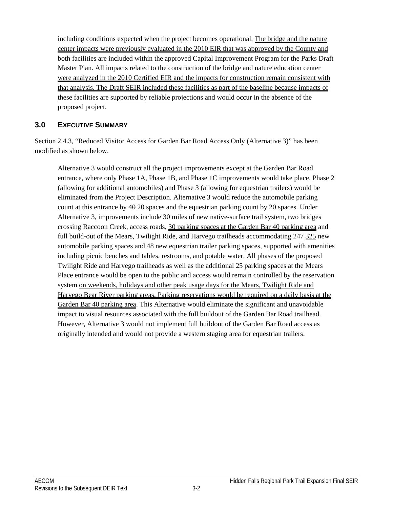including conditions expected when the project becomes operational. The bridge and the nature center impacts were previously evaluated in the 2010 EIR that was approved by the County and both facilities are included within the approved Capital Improvement Program for the Parks Draft Master Plan. All impacts related to the construction of the bridge and nature education center were analyzed in the 2010 Certified EIR and the impacts for construction remain consistent with that analysis. The Draft SEIR included these facilities as part of the baseline because impacts of these facilities are supported by reliable projections and would occur in the absence of the proposed project.

#### **3.0 EXECUTIVE SUMMARY**

Section 2.4.3, "Reduced Visitor Access for Garden Bar Road Access Only (Alternative 3)" has been modified as shown below.

Alternative 3 would construct all the project improvements except at the Garden Bar Road entrance, where only Phase 1A, Phase 1B, and Phase 1C improvements would take place. Phase 2 (allowing for additional automobiles) and Phase 3 (allowing for equestrian trailers) would be eliminated from the Project Description. Alternative 3 would reduce the automobile parking count at this entrance by  $40\overline{20}$  spaces and the equestrian parking count by 20 spaces. Under Alternative 3, improvements include 30 miles of new native-surface trail system, two bridges crossing Raccoon Creek, access roads, 30 parking spaces at the Garden Bar 40 parking area and full build-out of the Mears, Twilight Ride, and Harvego trailheads accommodating 247 325 new automobile parking spaces and 48 new equestrian trailer parking spaces, supported with amenities including picnic benches and tables, restrooms, and potable water. All phases of the proposed Twilight Ride and Harvego trailheads as well as the additional 25 parking spaces at the Mears Place entrance would be open to the public and access would remain controlled by the reservation system on weekends, holidays and other peak usage days for the Mears, Twilight Ride and Harvego Bear River parking areas. Parking reservations would be required on a daily basis at the Garden Bar 40 parking area. This Alternative would eliminate the significant and unavoidable impact to visual resources associated with the full buildout of the Garden Bar Road trailhead. However, Alternative 3 would not implement full buildout of the Garden Bar Road access as originally intended and would not provide a western staging area for equestrian trailers.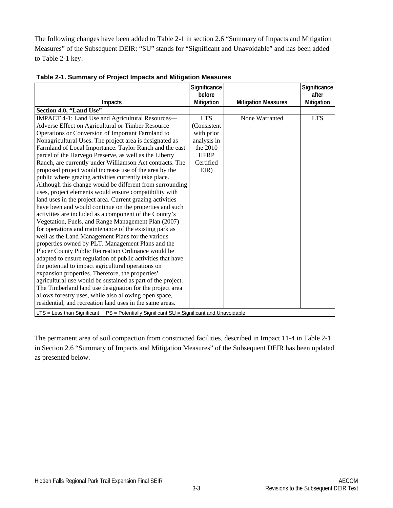The following changes have been added to Table 2-1 in section 2.6 "Summary of Impacts and Mitigation Measures" of the Subsequent DEIR: "SU" stands for "Significant and Unavoidable" and has been added to Table 2-1 key.

|                                                                                                    | Significance |                            | Significance |
|----------------------------------------------------------------------------------------------------|--------------|----------------------------|--------------|
|                                                                                                    | before       |                            | after        |
| Impacts                                                                                            | Mitigation   | <b>Mitigation Measures</b> | Mitigation   |
| Section 4.0, "Land Use"                                                                            |              |                            |              |
| IMPACT 4-1: Land Use and Agricultural Resources-                                                   | <b>LTS</b>   | None Warranted             | <b>LTS</b>   |
| Adverse Effect on Agricultural or Timber Resource                                                  | (Consistent  |                            |              |
| Operations or Conversion of Important Farmland to                                                  | with prior   |                            |              |
| Nonagricultural Uses. The project area is designated as                                            | analysis in  |                            |              |
| Farmland of Local Importance. Taylor Ranch and the east                                            | the 2010     |                            |              |
| parcel of the Harvego Preserve, as well as the Liberty                                             | <b>HFRP</b>  |                            |              |
| Ranch, are currently under Williamson Act contracts. The                                           | Certified    |                            |              |
| proposed project would increase use of the area by the                                             | $EIR$ )      |                            |              |
| public where grazing activities currently take place.                                              |              |                            |              |
| Although this change would be different from surrounding                                           |              |                            |              |
| uses, project elements would ensure compatibility with                                             |              |                            |              |
| land uses in the project area. Current grazing activities                                          |              |                            |              |
| have been and would continue on the properties and such                                            |              |                            |              |
| activities are included as a component of the County's                                             |              |                            |              |
| Vegetation, Fuels, and Range Management Plan (2007)                                                |              |                            |              |
| for operations and maintenance of the existing park as                                             |              |                            |              |
| well as the Land Management Plans for the various                                                  |              |                            |              |
| properties owned by PLT. Management Plans and the                                                  |              |                            |              |
| Placer County Public Recreation Ordinance would be                                                 |              |                            |              |
| adapted to ensure regulation of public activities that have                                        |              |                            |              |
| the potential to impact agricultural operations on                                                 |              |                            |              |
| expansion properties. Therefore, the properties'                                                   |              |                            |              |
| agricultural use would be sustained as part of the project.                                        |              |                            |              |
| The Timberland land use designation for the project area                                           |              |                            |              |
| allows forestry uses, while also allowing open space,                                              |              |                            |              |
| residential, and recreation land uses in the same areas.                                           |              |                            |              |
| $LTS = Less than Significant$<br>$PS$ = Potentially Significant $SU =$ Significant and Unavoidable |              |                            |              |

<span id="page-2-0"></span>**Table 2-1. Summary of Project Impacts and Mitigation Measures**

The permanent area of soil compaction from constructed facilities, described in Impact 11-4 in Table 2-1 in Section 2.6 "Summary of Impacts and Mitigation Measures" of the Subsequent DEIR has been updated as presented below.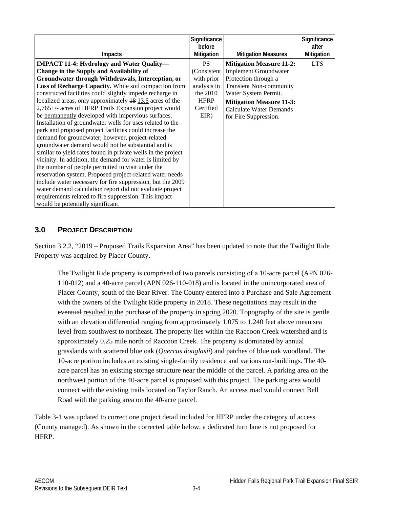| Impacts                                                                                                                                                                                                                                                                                                                                                                                                                                                                                                                                                                                                                                                                                                                                                                                                                                                                                                                                                                                                                                                                                                                                                   | Significance<br>before<br>Mitigation                                                                      | <b>Mitigation Measures</b>                                                                                                                                                                                                               | Significance<br>after<br>Mitigation |
|-----------------------------------------------------------------------------------------------------------------------------------------------------------------------------------------------------------------------------------------------------------------------------------------------------------------------------------------------------------------------------------------------------------------------------------------------------------------------------------------------------------------------------------------------------------------------------------------------------------------------------------------------------------------------------------------------------------------------------------------------------------------------------------------------------------------------------------------------------------------------------------------------------------------------------------------------------------------------------------------------------------------------------------------------------------------------------------------------------------------------------------------------------------|-----------------------------------------------------------------------------------------------------------|------------------------------------------------------------------------------------------------------------------------------------------------------------------------------------------------------------------------------------------|-------------------------------------|
| <b>IMPACT 11-4: Hydrology and Water Quality—</b><br>Change in the Supply and Availability of<br>Groundwater through Withdrawals, Interception, or<br>Loss of Recharge Capacity. While soil compaction from<br>constructed facilities could slightly impede recharge in<br>localized areas, only approximately 18 13.5 acres of the<br>2,765+/- acres of HFRP Trails Expansion project would<br>be permanently developed with impervious surfaces.<br>Installation of groundwater wells for uses related to the<br>park and proposed project facilities could increase the<br>demand for groundwater; however, project-related<br>groundwater demand would not be substantial and is<br>similar to yield rates found in private wells in the project<br>vicinity. In addition, the demand for water is limited by<br>the number of people permitted to visit under the<br>reservation system. Proposed project-related water needs<br>include water necessary for fire suppression, but the 2009<br>water demand calculation report did not evaluate project<br>requirements related to fire suppression. This impact<br>would be potentially significant. | <b>PS</b><br>(Consistent)<br>with prior<br>analysis in<br>the 2010<br><b>HFRP</b><br>Certified<br>$EIR$ ) | <b>Mitigation Measure 11-2:</b><br><b>Implement Groundwater</b><br>Protection through a<br><b>Transient Non-community</b><br>Water System Permit.<br><b>Mitigation Measure 11-3:</b><br>Calculate Water Demands<br>for Fire Suppression. | <b>LTS</b>                          |

#### **3.0 PROJECT DESCRIPTION**

Section 3.2.2, "2019 – Proposed Trails Expansion Area" has been updated to note that the Twilight Ride Property was acquired by Placer County.

The Twilight Ride property is comprised of two parcels consisting of a 10-acre parcel (APN 026- 110-012) and a 40-acre parcel (APN 026-110-018) and is located in the unincorporated area of Placer County, south of the Bear River. The County entered into a Purchase and Sale Agreement with the owners of the Twilight Ride property in 2018. These negotiations may result in the eventual resulted in the purchase of the property in spring 2020. Topography of the site is gentle with an elevation differential ranging from approximately 1,075 to 1,240 feet above mean sea level from southwest to northeast. The property lies within the Raccoon Creek watershed and is approximately 0.25 mile north of Raccoon Creek. The property is dominated by annual grasslands with scattered blue oak (*Quercus douglasii*) and patches of blue oak woodland. The 10-acre portion includes an existing single-family residence and various out-buildings. The 40 acre parcel has an existing storage structure near the middle of the parcel. A parking area on the northwest portion of the 40-acre parcel is proposed with this project. The parking area would connect with the existing trails located on Taylor Ranch. An access road would connect Bell Road with the parking area on the 40-acre parcel.

Table 3-1 was updated to correct one project detail included for HFRP under the category of access (County managed). As shown in the corrected table below, a dedicated turn lane is not proposed for HFRP.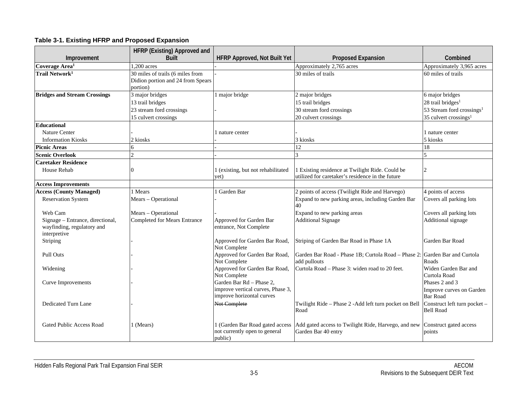#### **Table 3-1. Existing HFRP and Proposed Expansion**

<span id="page-4-0"></span>

|                                                                                | HFRP (Existing) Approved and        |                                                                                            |                                                                                                   |                                                               |
|--------------------------------------------------------------------------------|-------------------------------------|--------------------------------------------------------------------------------------------|---------------------------------------------------------------------------------------------------|---------------------------------------------------------------|
| Improvement                                                                    | <b>Built</b>                        | <b>HFRP Approved, Not Built Yet</b>                                                        | <b>Proposed Expansion</b>                                                                         | Combined                                                      |
| Coverage Area <sup>1</sup>                                                     | 1.200 acres                         |                                                                                            | Approximately 2,765 acres                                                                         | Approximately 3,965 acres                                     |
| Trail Network <sup>1</sup>                                                     | 30 miles of trails (6 miles from    |                                                                                            | 30 miles of trails                                                                                | 60 miles of trails                                            |
|                                                                                | Didion portion and 24 from Spears   |                                                                                            |                                                                                                   |                                                               |
|                                                                                | portion)                            |                                                                                            |                                                                                                   |                                                               |
| <b>Bridges and Stream Crossings</b>                                            | 3 major bridges                     | 1 major bridge                                                                             | 2 major bridges                                                                                   | 6 major bridges                                               |
|                                                                                | 13 trail bridges                    |                                                                                            | 15 trail bridges                                                                                  | 28 trail bridges <sup>1</sup>                                 |
|                                                                                | 23 stream ford crossings            |                                                                                            | 30 stream ford crossings                                                                          | 53 Stream ford crossings <sup>1</sup>                         |
|                                                                                | 15 culvert crossings                |                                                                                            | 20 culvert crossings                                                                              | $35$ culvert crossings <sup>1</sup>                           |
| Educational                                                                    |                                     |                                                                                            |                                                                                                   |                                                               |
| <b>Nature Center</b>                                                           |                                     | l nature center                                                                            |                                                                                                   | 1 nature center                                               |
| <b>Information Kiosks</b>                                                      | 2 kiosks                            |                                                                                            | 3 kiosks                                                                                          | 5 kiosks                                                      |
| <b>Picnic Areas</b>                                                            | 6                                   |                                                                                            | 12                                                                                                | 18                                                            |
| <b>Scenic Overlook</b>                                                         | $\mathcal{D}$                       |                                                                                            |                                                                                                   | 5                                                             |
| <b>Caretaker Residence</b>                                                     |                                     |                                                                                            |                                                                                                   |                                                               |
| House Rehab                                                                    | ∩                                   | 1 (existing, but not rehabilitated                                                         | 1 Existing residence at Twilight Ride. Could be                                                   | $\overline{2}$                                                |
|                                                                                |                                     | yet)                                                                                       | utilized for caretaker's residence in the future                                                  |                                                               |
| <b>Access Improvements</b>                                                     |                                     |                                                                                            |                                                                                                   |                                                               |
| <b>Access (County Managed)</b>                                                 | 1 Mears                             | 1 Garden Bar                                                                               | 2 points of access (Twilight Ride and Harvego)                                                    | 4 points of access                                            |
| <b>Reservation System</b>                                                      | Mears - Operational                 |                                                                                            | Expand to new parking areas, including Garden Bar<br>40                                           | Covers all parking lots                                       |
| Web Cam                                                                        | Mears - Operational                 |                                                                                            | Expand to new parking areas                                                                       | Covers all parking lots                                       |
| Signage – Entrance, directional,<br>wayfinding, regulatory and<br>interpretive | <b>Completed for Mears Entrance</b> | Approved for Garden Bar<br>entrance, Not Complete                                          | <b>Additional Signage</b>                                                                         | Additional signage                                            |
| Striping                                                                       |                                     | Approved for Garden Bar Road,<br>Not Complete                                              | Striping of Garden Bar Road in Phase 1A                                                           | Garden Bar Road                                               |
| Pull Outs                                                                      |                                     | Approved for Garden Bar Road,<br>Not Complete                                              | Garden Bar Road - Phase 1B; Curtola Road – Phase 2: Garden Bar and Curtola<br>add pullouts        | Roads                                                         |
| Widening                                                                       |                                     | Approved for Garden Bar Road,<br>Not Complete                                              | Curtola Road – Phase 3: widen road to 20 feet.                                                    | Widen Garden Bar and<br>Curtola Road                          |
| <b>Curve Improvements</b>                                                      |                                     | Garden Bar Rd - Phase 2,<br>improve vertical curves, Phase 3,<br>improve horizontal curves |                                                                                                   | Phases 2 and 3<br>Improve curves on Garden<br><b>Bar Road</b> |
| Dedicated Turn Lane                                                            |                                     | Not Complete                                                                               | Twilight Ride – Phase 2 - Add left turn pocket on Bell Construct left turn pocket –<br>Road       | <b>Bell Road</b>                                              |
| <b>Gated Public Access Road</b>                                                | 1 (Mears)                           | 1 (Garden Bar Road gated access<br>not currently open to general<br>public)                | Add gated access to Twilight Ride, Harvego, and new Construct gated access<br>Garden Bar 40 entry | points                                                        |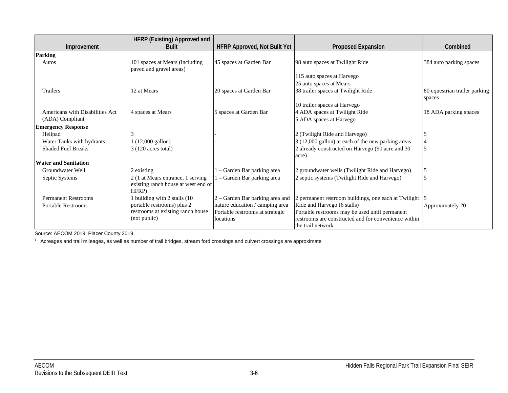|                                 | HFRP (Existing) Approved and                              |                                     |                                                           |                                         |
|---------------------------------|-----------------------------------------------------------|-------------------------------------|-----------------------------------------------------------|-----------------------------------------|
| Improvement                     | <b>Built</b>                                              | <b>HFRP Approved, Not Built Yet</b> | <b>Proposed Expansion</b>                                 | Combined                                |
| <b>Parking</b>                  |                                                           |                                     |                                                           |                                         |
| Autos                           | 101 spaces at Mears (including<br>paved and gravel areas) | 45 spaces at Garden Bar             | 98 auto spaces at Twilight Ride                           | 384 auto parking spaces                 |
|                                 |                                                           |                                     | 115 auto spaces at Harvego                                |                                         |
|                                 |                                                           |                                     | 25 auto spaces at Mears                                   |                                         |
| Trailers                        | 12 at Mears                                               | 20 spaces at Garden Bar             | 38 trailer spaces at Twilight Ride                        | 80 equestrian trailer parking<br>spaces |
|                                 |                                                           |                                     | 10 trailer spaces at Harvego                              |                                         |
| Americans with Disabilities Act | 4 spaces at Mears                                         | 5 spaces at Garden Bar              | 4 ADA spaces at Twilight Ride                             | 18 ADA parking spaces                   |
| (ADA) Compliant                 |                                                           |                                     | 5 ADA spaces at Harvego                                   |                                         |
| <b>Emergency Response</b>       |                                                           |                                     |                                                           |                                         |
| Helipad                         |                                                           |                                     | 2 (Twilight Ride and Harvego)                             |                                         |
| Water Tanks with hydrants       | $(12,000 \text{ gallon})$                                 |                                     | 3 (12,000 gallon) at each of the new parking areas        |                                         |
| <b>Shaded Fuel Breaks</b>       | $3(120 \text{ acres total})$                              |                                     | 2 already constructed on Harvego (90 acre and 30<br>acre) |                                         |
| <b>Water and Sanitation</b>     |                                                           |                                     |                                                           |                                         |
| Groundwater Well                | 2 existing                                                | 1 – Garden Bar parking area         | 2 groundwater wells (Twilight Ride and Harvego)           |                                         |
| Septic Systems                  | 2 (1 at Mears entrance, 1 serving                         | l – Garden Bar parking area         | 2 septic systems (Twilight Ride and Harvego)              |                                         |
|                                 | existing ranch house at west end of<br>HFRP)              |                                     |                                                           |                                         |
| <b>Permanent Restrooms</b>      | building with 2 stalls (10                                | 2 - Garden Bar parking area and     | 2 permanent restroom buildings, one each at Twilight      |                                         |
| <b>Portable Restrooms</b>       | portable restrooms) plus 2                                | nature education / camping area     | Ride and Harvego (6 stalls)                               | Approximately 20                        |
|                                 | restrooms at existing ranch house                         | Portable restrooms at strategic     | Portable restrooms may be used until permanent            |                                         |
|                                 | (not public)                                              | locations                           | restrooms are constructed and for convenience within      |                                         |
|                                 |                                                           |                                     | the trail network                                         |                                         |

Source: AECOM 2019; Placer County 2019

<sup>1</sup> Acreages and trail mileages, as well as number of trail bridges, stream ford crossings and culvert crossings are approximate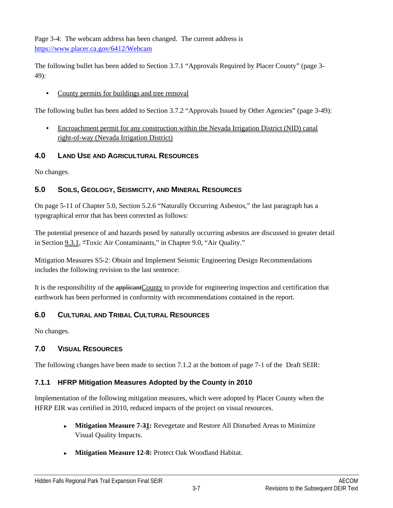Page 3-4: The webcam address has been changed. The current address is <https://www.placer.ca.gov/6412/Webcam>

The following bullet has been added to Section 3.7.1 "Approvals Required by Placer County" (page 3- 49):

County permits for buildings and tree removal

The following bullet has been added to Section 3.7.2 "Approvals Issued by Other Agencies" (page 3-49):

• Encroachment permit for any construction within the Nevada Irrigation District (NID) canal right-of-way (Nevada Irrigation District)

#### **4.0 LAND USE AND AGRICULTURAL RESOURCES**

No changes.

### **5.0 SOILS, GEOLOGY, SEISMICITY, AND MINERAL RESOURCES**

On page 5-11 of Chapter 5.0, Section 5.2.6 "Naturally Occurring Asbestos," the last paragraph has a typographical error that has been corrected as follows:

The potential presence of and hazards posed by naturally occurring asbestos are discussed in greater detail in Section 9.3.1, "Toxic Air Contaminants," in Chapter 9.0, "Air Quality."

Mitigation Measures S5-2: Obtain and Implement Seismic Engineering Design Recommendations includes the following revision to the last sentence:

It is the responsibility of the applicantCounty to provide for engineering inspection and certification that earthwork has been performed in conformity with recommendations contained in the report.

## **6.0 CULTURAL AND TRIBAL CULTURAL RESOURCES**

No changes.

## **7.0 VISUAL RESOURCES**

The following changes have been made to section 7.1.2 at the bottom of page 7-1 of the Draft SEIR:

#### **7.1.1 HFRP Mitigation Measures Adopted by the County in 2010**

Implementation of the following mitigation measures, which were adopted by Placer County when the HFRP EIR was certified in 2010, reduced impacts of the project on visual resources.

- ► **Mitigation Measure 7-31:** Revegetate and Restore All Disturbed Areas to Minimize Visual Quality Impacts.
- ► **Mitigation Measure 12-8:** Protect Oak Woodland Habitat.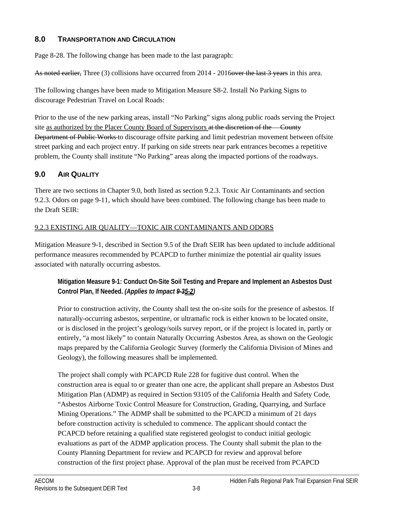#### **8.0 TRANSPORTATION AND CIRCULATION**

Page 8-28. The following change has been made to the last paragraph:

As noted earlier, Three (3) collisions have occurred from 2014 - 2016over the last 3 years in this area.

The following changes have been made to Mitigation Measure S8-2. Install No Parking Signs to discourage Pedestrian Travel on Local Roads:

Prior to the use of the new parking areas, install "No Parking" signs along public roads serving the Project site as authorized by the Placer County Board of Supervisors at the discretion of the County Department of Public Works to discourage offsite parking and limit pedestrian movement between offsite street parking and each project entry. If parking on side streets near park entrances becomes a repetitive problem, the County shall institute "No Parking" areas along the impacted portions of the roadways.

### **9.0 AIR QUALITY**

There are two sections in Chapter 9.0, both listed as section 9.2.3. Toxic Air Contaminants and section 9.2.3. Odors on page 9-11, which should have been combined. The following change has been made to the Draft SEIR:

#### 9.2.3 EXISTING AIR QUALITY—TOXIC AIR CONTAMINANTS AND ODORS

Mitigation Measure 9-1, described in Section 9.5 of the Draft SEIR has been updated to include additional performance measures recommended by PCAPCD to further minimize the potential air quality issues associated with naturally occurring asbestos.

#### **Mitigation Measure 9-1: Conduct On-Site Soil Testing and Prepare and Implement an Asbestos Dust Control Plan, If Needed.** *(Applies to Impact 9-35-2)*

Prior to construction activity, the County shall test the on-site soils for the presence of asbestos. If naturally-occurring asbestos, serpentine, or ultramafic rock is either known to be located onsite, or is disclosed in the project's geology/soils survey report, or if the project is located in, partly or entirely, "a most likely" to contain Naturally Occurring Asbestos Area, as shown on the Geologic maps prepared by the California Geologic Survey (formerly the California Division of Mines and Geology), the following measures shall be implemented.

The project shall comply with PCAPCD Rule 228 for fugitive dust control. When the construction area is equal to or greater than one acre, the applicant shall prepare an Asbestos Dust Mitigation Plan (ADMP) as required in Section 93105 of the California Health and Safety Code, "Asbestos Airborne Toxic Control Measure for Construction, Grading, Quarrying, and Surface Mining Operations." The ADMP shall be submitted to the PCAPCD a minimum of 21 days before construction activity is scheduled to commence. The applicant should contact the PCAPCD before retaining a qualified state registered geologist to conduct initial geologic evaluations as part of the ADMP application process. The County shall submit the plan to the County Planning Department for review and PCAPCD for review and approval before construction of the first project phase. Approval of the plan must be received from PCAPCD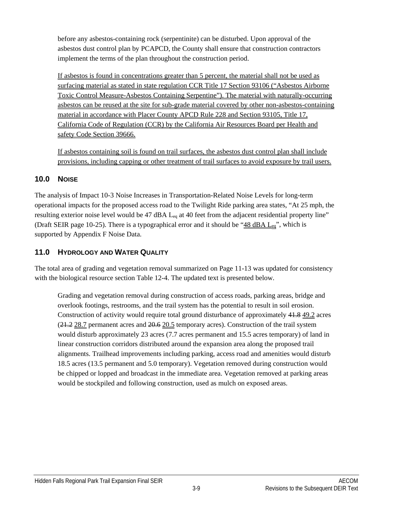before any asbestos-containing rock (serpentinite) can be disturbed. Upon approval of the asbestos dust control plan by PCAPCD, the County shall ensure that construction contractors implement the terms of the plan throughout the construction period.

If asbestos is found in concentrations greater than 5 percent, the material shall not be used as surfacing material as stated in state regulation CCR Title 17 Section 93106 ("Asbestos Airborne Toxic Control Measure-Asbestos Containing Serpentine"). The material with naturally-occurring asbestos can be reused at the site for sub-grade material covered by other non-asbestos-containing material in accordance with Placer County APCD Rule 228 and Section 93105, Title 17, California Code of Regulation (CCR) by the California Air Resources Board per Health and safety Code Section 39666.

If asbestos containing soil is found on trail surfaces, the asbestos dust control plan shall include provisions, including capping or other treatment of trail surfaces to avoid exposure by trail users.

### **10.0 NOISE**

The analysis of Impact 10-3 Noise Increases in Transportation-Related Noise Levels for long-term operational impacts for the proposed access road to the Twilight Ride parking area states, "At 25 mph, the resulting exterior noise level would be 47 dBA L<sub>eq</sub> at 40 feet from the adjacent residential property line" (Draft SEIR page 10-25). There is a typographical error and it should be " $48 \text{ dBA } L_{eq}$ ", which is supported by Appendix F Noise Data.

#### **11.0 HYDROLOGY AND WATER QUALITY**

The total area of grading and vegetation removal summarized on Page 11-13 was updated for consistency with the biological resource section Table 12-4. The updated text is presented below.

Grading and vegetation removal during construction of access roads, parking areas, bridge and overlook footings, restrooms, and the trail system has the potential to result in soil erosion. Construction of activity would require total ground disturbance of approximately 41.8 49.2 acres  $(21.2 28.7)$  permanent acres and  $20.6 20.5$  temporary acres). Construction of the trail system would disturb approximately 23 acres (7.7 acres permanent and 15.5 acres temporary) of land in linear construction corridors distributed around the expansion area along the proposed trail alignments. Trailhead improvements including parking, access road and amenities would disturb 18.5 acres (13.5 permanent and 5.0 temporary). Vegetation removed during construction would be chipped or lopped and broadcast in the immediate area. Vegetation removed at parking areas would be stockpiled and following construction, used as mulch on exposed areas.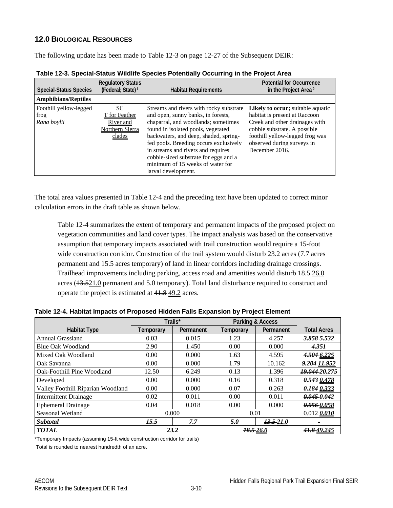#### **12.0 BIOLOGICAL RESOURCES**

The following update has been made to Table 12-3 on page 12-27 of the Subsequent DEIR:

| <b>Special-Status Species</b>                 | <b>Regulatory Status</b><br>(Federal; State) <sup>1</sup>            | <b>Habitat Requirements</b>                                                                                                                                                                                                                                                                                                                                                             | <b>Potential for Occurrence</b><br>in the Project Area <sup>2</sup>                                                                                                                                                             |
|-----------------------------------------------|----------------------------------------------------------------------|-----------------------------------------------------------------------------------------------------------------------------------------------------------------------------------------------------------------------------------------------------------------------------------------------------------------------------------------------------------------------------------------|---------------------------------------------------------------------------------------------------------------------------------------------------------------------------------------------------------------------------------|
| <b>Amphibians/Reptiles</b>                    |                                                                      |                                                                                                                                                                                                                                                                                                                                                                                         |                                                                                                                                                                                                                                 |
| Foothill yellow-legged<br>frog<br>Rana boylii | SC<br>T for Feather<br>River and<br><b>Northern Sierra</b><br>clades | Streams and rivers with rocky substrate<br>and open, sunny banks, in forests,<br>chaparral, and woodlands; sometimes<br>found in isolated pools, vegetated<br>backwaters, and deep, shaded, spring-<br>fed pools. Breeding occurs exclusively<br>in streams and rivers and requires<br>cobble-sized substrate for eggs and a<br>minimum of 15 weeks of water for<br>larval development. | <b>Likely to occur</b> ; suitable aquatic<br>habitat is present at Raccoon<br>Creek and other drainages with<br>cobble substrate. A possible<br>foothill yellow-legged frog was<br>observed during surveys in<br>December 2016. |

<span id="page-9-0"></span>

The total area values presented in Table 12-4 and the preceding text have been updated to correct minor calculation errors in the draft table as shown below.

Table 12-4 summarizes the extent of temporary and permanent impacts of the proposed project on vegetation communities and land cover types. The impact analysis was based on the conservative assumption that temporary impacts associated with trail construction would require a 15-foot wide construction corridor. Construction of the trail system would disturb 23.2 acres (7.7 acres permanent and 15.5 acres temporary) of land in linear corridors including drainage crossings. Trailhead improvements including parking, access road and amenities would disturb  $18.5$  26.0 acres (13.521.0 permanent and 5.0 temporary). Total land disturbance required to construct and operate the project is estimated at 41.8 49.2 acres.

|                                   | Trails*   |           | Parking & Access |               |                    |
|-----------------------------------|-----------|-----------|------------------|---------------|--------------------|
| <b>Habitat Type</b>               | Temporary | Permanent | Temporary        | Permanent     | <b>Total Acres</b> |
| <b>Annual Grassland</b>           | 0.03      | 0.015     | 1.23             | 4.257         | 3.858 5.532        |
| <b>Blue Oak Woodland</b>          | 2.90      | 1.450     | 0.00             | 0.000         | 4.351              |
| Mixed Oak Woodland                | 0.00      | 0.000     | 1.63             | 4.595         | 4.504 6.225        |
| Oak Savanna                       | 0.00      | 0.000     | 1.79             | 10.162        | 9.204 11.952       |
| Oak-Foothill Pine Woodland        | 12.50     | 6.249     | 0.13             | 1.396         | 19.044 20.275      |
| Developed                         | 0.00      | 0.000     | 0.16             | 0.318         | 0.5430.478         |
| Valley Foothill Riparian Woodland | 0.00      | 0.000     | 0.07             | 0.263         | 0.1840.333         |
| <b>Intermittent Drainage</b>      | 0.02      | 0.011     | 0.00             | 0.011         | 0.0450042          |
| <b>Ephemeral Drainage</b>         | 0.04      | 0.018     | 0.00             | 0.000         | 0.05600058         |
| Seasonal Wetland                  | 0.000     |           | 0.01             |               | $0.012 - 0.010$    |
| <b>Subtotal</b>                   | 15.5      | 7.7       | 5.0              | $13.5 - 21.0$ |                    |
| <b>TOTAL</b>                      | 23.2      |           | 18.5-26.0        |               | 41.849.245         |

<span id="page-9-1"></span>**Table 12-4. Habitat Impacts of Proposed Hidden Falls Expansion by Project Element**

\*Temporary Impacts (assuming 15-ft wide construction corridor for trails)

Total is rounded to nearest hundredth of an acre.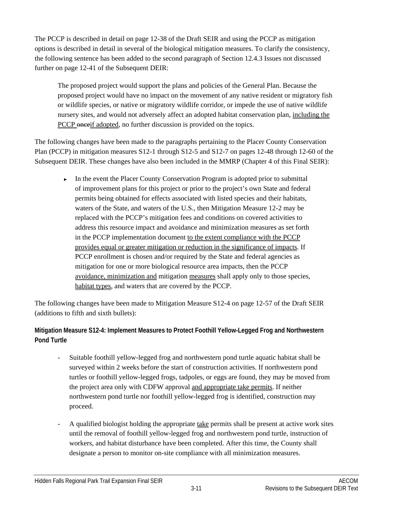The PCCP is described in detail on page 12-38 of the Draft SEIR and using the PCCP as mitigation options is described in detail in several of the biological mitigation measures. To clarify the consistency, the following sentence has been added to the second paragraph of Section 12.4.3 Issues not discussed further on page 12-41 of the Subsequent DEIR:

The proposed project would support the plans and policies of the General Plan. Because the proposed project would have no impact on the movement of any native resident or migratory fish or wildlife species, or native or migratory wildlife corridor, or impede the use of native wildlife nursery sites, and would not adversely affect an adopted habitat conservation plan, including the PCCP once if adopted, no further discussion is provided on the topics.

The following changes have been made to the paragraphs pertaining to the Placer County Conservation Plan (PCCP) in mitigation measures S12-1 through S12-5 and S12-7 on pages 12-48 through 12-60 of the Subsequent DEIR. These changes have also been included in the MMRP (Chapter 4 of this Final SEIR):

► In the event the Placer County Conservation Program is adopted prior to submittal of improvement plans for this project or prior to the project's own State and federal permits being obtained for effects associated with listed species and their habitats, waters of the State, and waters of the U.S., then Mitigation Measure 12-2 may be replaced with the PCCP's mitigation fees and conditions on covered activities to address this resource impact and avoidance and minimization measures as set forth in the PCCP implementation document to the extent compliance with the PCCP provides equal or greater mitigation or reduction in the significance of impacts. If PCCP enrollment is chosen and/or required by the State and federal agencies as mitigation for one or more biological resource area impacts, then the PCCP avoidance, minimization and mitigation measures shall apply only to those species, habitat types, and waters that are covered by the PCCP.

The following changes have been made to Mitigation Measure S12-4 on page 12-57 of the Draft SEIR (additions to fifth and sixth bullets):

#### **Mitigation Measure S12-4: Implement Measures to Protect Foothill Yellow-Legged Frog and Northwestern Pond Turtle**

- Suitable foothill yellow-legged frog and northwestern pond turtle aquatic habitat shall be surveyed within 2 weeks before the start of construction activities. If northwestern pond turtles or foothill yellow-legged frogs, tadpoles, or eggs are found, they may be moved from the project area only with CDFW approval and appropriate take permits. If neither northwestern pond turtle nor foothill yellow-legged frog is identified, construction may proceed.
- A qualified biologist holding the appropriate take permits shall be present at active work sites until the removal of foothill yellow-legged frog and northwestern pond turtle, instruction of workers, and habitat disturbance have been completed. After this time, the County shall designate a person to monitor on-site compliance with all minimization measures.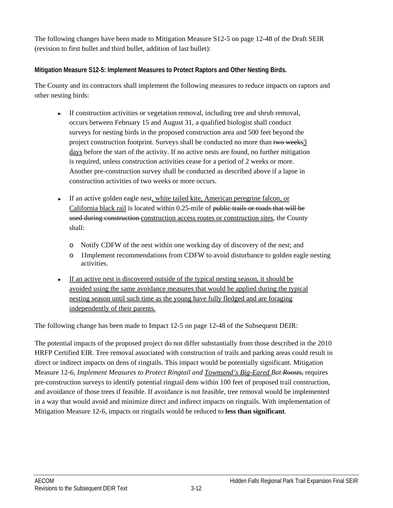The following changes have been made to Mitigation Measure S12-5 on page 12-48 of the Draft SEIR (revision to first bullet and third bullet, addition of last bullet):

#### **Mitigation Measure S12-5: Implement Measures to Protect Raptors and Other Nesting Birds.**

The County and its contractors shall implement the following measures to reduce impacts on raptors and other nesting birds:

- ► If construction activities or vegetation removal, including tree and shrub removal, occurs between February 15 and August 31, a qualified biologist shall conduct surveys for nesting birds in the proposed construction area and 500 feet beyond the project construction footprint. Surveys shall be conducted no more than two weeks3 days before the start of the activity. If no active nests are found, no further mitigation is required, unless construction activities cease for a period of 2 weeks or more. Another pre-construction survey shall be conducted as described above if a lapse in construction activities of two weeks or more occurs.
- ► If an active golden eagle nest, white tailed kite, American peregrine falcon, or California black rail is located within 0.25-mile of public trails or roads that will be used during construction construction access routes or construction sites, the County shall:
	- o Notify CDFW of the nest within one working day of discovery of the nest; and
	- o 1Implement recommendations from CDFW to avoid disturbance to golden eagle nesting activities.
- ► If an active nest is discovered outside of the typical nesting season, it should be avoided using the same avoidance measures that would be applied during the typical nesting season until such time as the young have fully fledged and are foraging independently of their parents.

The following change has been made to Impact 12-5 on page 12-48 of the Subsequent DEIR:

The potential impacts of the proposed project do not differ substantially from those described in the 2010 HRFP Certified EIR. Tree removal associated with construction of trails and parking areas could result in direct or indirect impacts on dens of ringtails. This impact would be potentially significant. Mitigation Measure 12-6, *Implement Measures to Protect Ringtail and Townsend's Big-Eared Bat Roosts*, requires pre-construction surveys to identify potential ringtail dens within 100 feet of proposed trail construction, and avoidance of those trees if feasible. If avoidance is not feasible, tree removal would be implemented in a way that would avoid and minimize direct and indirect impacts on ringtails. With implementation of Mitigation Measure 12-6, impacts on ringtails would be reduced to **less than significant**.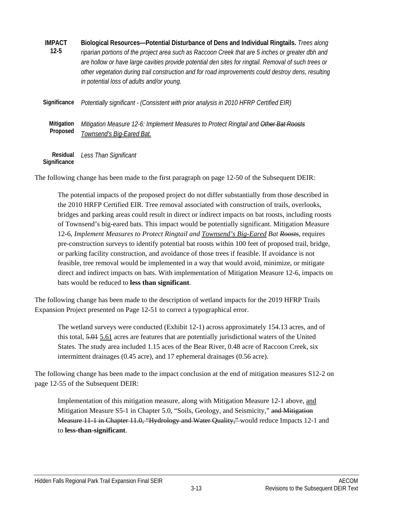| <b>IMPACT</b><br>$12 - 5$ | Biological Resources-Potential Disturbance of Dens and Individual Ringtails. Trees along<br>riparian portions of the project area such as Raccoon Creek that are 5 inches or greater dbh and<br>are hollow or have large cavities provide potential den sites for ringtail. Removal of such trees or<br>other vegetation during trail construction and for road improvements could destroy dens, resulting<br>in potential loss of adults and/or young. |
|---------------------------|---------------------------------------------------------------------------------------------------------------------------------------------------------------------------------------------------------------------------------------------------------------------------------------------------------------------------------------------------------------------------------------------------------------------------------------------------------|
| Significance              | Potentially significant - (Consistent with prior analysis in 2010 HFRP Certified EIR)                                                                                                                                                                                                                                                                                                                                                                   |
| Mitigation<br>Proposed    | Mitigation Measure 12-6: Implement Measures to Protect Ringtail and Other Bat Roosts<br>Townsend's Big-Eared Bat.                                                                                                                                                                                                                                                                                                                                       |
| Residual                  | Less Than Significant                                                                                                                                                                                                                                                                                                                                                                                                                                   |

**Significance** 

The following change has been made to the first paragraph on page 12-50 of the Subsequent DEIR:

The potential impacts of the proposed project do not differ substantially from those described in the 2010 HRFP Certified EIR. Tree removal associated with construction of trails, overlooks, bridges and parking areas could result in direct or indirect impacts on bat roosts, including roosts of Townsend's big-eared bats. This impact would be potentially significant. Mitigation Measure 12-6, *Implement Measures to Protect Ringtail and Townsend's Big-Eared Bat Roosts*, requires pre-construction surveys to identify potential bat roosts within 100 feet of proposed trail, bridge, or parking facility construction, and avoidance of those trees if feasible. If avoidance is not feasible, tree removal would be implemented in a way that would avoid, minimize, or mitigate direct and indirect impacts on bats. With implementation of Mitigation Measure 12-6, impacts on bats would be reduced to **less than significant**.

The following change has been made to the description of wetland impacts for the 2019 HFRP Trails Expansion Project presented on Page 12-51 to correct a typographical error.

The wetland surveys were conducted (Exhibit 12-1) across approximately 154.13 acres, and of this total, 5.01 5.61 acres are features that are potentially jurisdictional waters of the United States. The study area included 1.15 aces of the Bear River, 0.48 acre of Raccoon Creek, six intermittent drainages (0.45 acre), and 17 ephemeral drainages (0.56 acre).

The following change has been made to the impact conclusion at the end of mitigation measures S12-2 on page 12-55 of the Subsequent DEIR:

Implementation of this mitigation measure, along with Mitigation Measure 12-1 above, and Mitigation Measure S5-1 in Chapter 5.0, "Soils, Geology, and Seismicity," and Mitigation Measure 11-1 in Chapter 11.0, "Hydrology and Water Quality," would reduce Impacts 12-1 and to **less-than-significant**.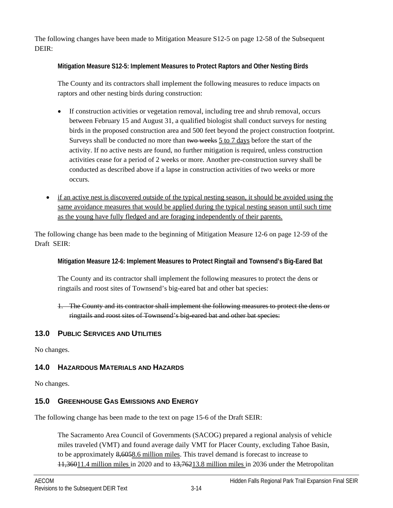The following changes have been made to Mitigation Measure S12-5 on page 12-58 of the Subsequent DEIR:

**Mitigation Measure S12-5: Implement Measures to Protect Raptors and Other Nesting Birds** 

The County and its contractors shall implement the following measures to reduce impacts on raptors and other nesting birds during construction:

- If construction activities or vegetation removal, including tree and shrub removal, occurs between February 15 and August 31, a qualified biologist shall conduct surveys for nesting birds in the proposed construction area and 500 feet beyond the project construction footprint. Surveys shall be conducted no more than two weeks  $\frac{5}{10}$  to 7 days before the start of the activity. If no active nests are found, no further mitigation is required, unless construction activities cease for a period of 2 weeks or more. Another pre-construction survey shall be conducted as described above if a lapse in construction activities of two weeks or more occurs.
- if an active nest is discovered outside of the typical nesting season, it should be avoided using the same avoidance measures that would be applied during the typical nesting season until such time as the young have fully fledged and are foraging independently of their parents.

The following change has been made to the beginning of Mitigation Measure 12-6 on page 12-59 of the Draft SEIR:

**Mitigation Measure 12-6: Implement Measures to Protect Ringtail and Townsend's Big-Eared Bat** 

The County and its contractor shall implement the following measures to protect the dens or ringtails and roost sites of Townsend's big-eared bat and other bat species:

1. The County and its contractor shall implement the following measures to protect the dens or ringtails and roost sites of Townsend's big-eared bat and other bat species:

## **13.0 PUBLIC SERVICES AND UTILITIES**

No changes.

## **14.0 HAZARDOUS MATERIALS AND HAZARDS**

No changes.

## **15.0 GREENHOUSE GAS EMISSIONS AND ENERGY**

The following change has been made to the text on page 15-6 of the Draft SEIR:

The Sacramento Area Council of Governments (SACOG) prepared a regional analysis of vehicle miles traveled (VMT) and found average daily VMT for Placer County, excluding Tahoe Basin, to be approximately 8,6058.6 million miles. This travel demand is forecast to increase to 11,36011.4 million miles in 2020 and to 13,76213.8 million miles in 2036 under the Metropolitan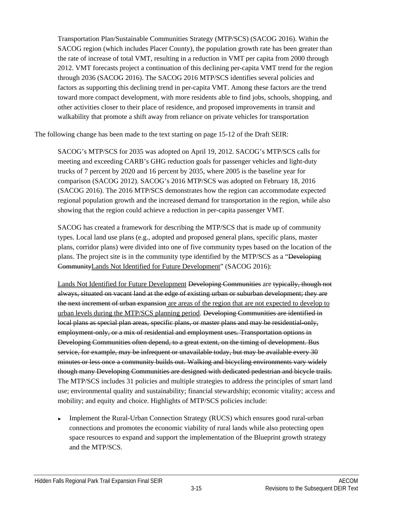Transportation Plan/Sustainable Communities Strategy (MTP/SCS) (SACOG 2016). Within the SACOG region (which includes Placer County), the population growth rate has been greater than the rate of increase of total VMT, resulting in a reduction in VMT per capita from 2000 through 2012. VMT forecasts project a continuation of this declining per-capita VMT trend for the region through 2036 (SACOG 2016). The SACOG 2016 MTP/SCS identifies several policies and factors as supporting this declining trend in per-capita VMT. Among these factors are the trend toward more compact development, with more residents able to find jobs, schools, shopping, and other activities closer to their place of residence, and proposed improvements in transit and walkability that promote a shift away from reliance on private vehicles for transportation

The following change has been made to the text starting on page 15-12 of the Draft SEIR:

SACOG's MTP/SCS for 2035 was adopted on April 19, 2012. SACOG's MTP/SCS calls for meeting and exceeding CARB's GHG reduction goals for passenger vehicles and light-duty trucks of 7 percent by 2020 and 16 percent by 2035, where 2005 is the baseline year for comparison (SACOG 2012). SACOG's 2016 MTP/SCS was adopted on February 18, 2016 (SACOG 2016). The 2016 MTP/SCS demonstrates how the region can accommodate expected regional population growth and the increased demand for transportation in the region, while also showing that the region could achieve a reduction in per-capita passenger VMT.

SACOG has created a framework for describing the MTP/SCS that is made up of community types. Local land use plans (e.g., adopted and proposed general plans, specific plans, master plans, corridor plans) were divided into one of five community types based on the location of the plans. The project site is in the community type identified by the MTP/SCS as a "Developing CommunityLands Not Identified for Future Development" (SACOG 2016):

Lands Not Identified for Future Development <del>Developing Communities</del> are typically, though not always, situated on vacant land at the edge of existing urban or suburban development; they are the next increment of urban expansion are areas of the region that are not expected to develop to urban levels during the MTP/SCS planning period. Developing Communities are identified in local plans as special plan areas, specific plans, or master plans and may be residential-only, employment-only, or a mix of residential and employment uses. Transportation options in Developing Communities often depend, to a great extent, on the timing of development. Bus service, for example, may be infrequent or unavailable today, but may be available every 30 minutes or less once a community builds out. Walking and bicycling environments vary widely though many Developing Communities are designed with dedicated pedestrian and bicycle trails. The MTP/SCS includes 31 policies and multiple strategies to address the principles of smart land use; environmental quality and sustainability; financial stewardship; economic vitality; access and mobility; and equity and choice. Highlights of MTP/SCS policies include:

Implement the Rural-Urban Connection Strategy (RUCS) which ensures good rural-urban connections and promotes the economic viability of rural lands while also protecting open space resources to expand and support the implementation of the Blueprint growth strategy and the MTP/SCS.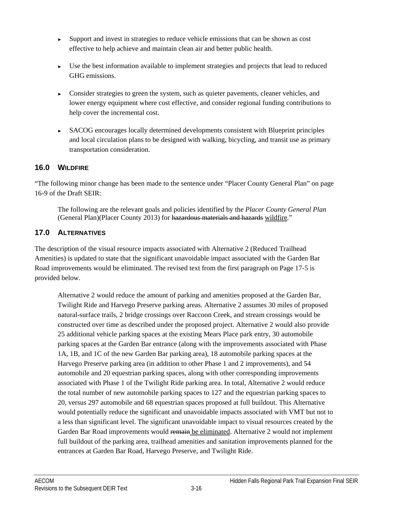- ► Support and invest in strategies to reduce vehicle emissions that can be shown as cost effective to help achieve and maintain clean air and better public health.
- ► Use the best information available to implement strategies and projects that lead to reduced GHG emissions.
- ► Consider strategies to green the system, such as quieter pavements, cleaner vehicles, and lower energy equipment where cost effective, and consider regional funding contributions to help cover the incremental cost.
- ► SACOG encourages locally determined developments consistent with Blueprint principles and local circulation plans to be designed with walking, bicycling, and transit use as primary transportation consideration.

#### **16.0 WILDFIRE**

"The following minor change has been made to the sentence under "Placer County General Plan" on page 16-9 of the Draft SEIR:

The following are the relevant goals and policies identified by the *Placer County General Plan* (General Plan)(Placer County 2013) for hazardous materials and hazards wildfire."

### **17.0 ALTERNATIVES**

The description of the visual resource impacts associated with Alternative 2 (Reduced Trailhead Amenities) is updated to state that the significant unavoidable impact associated with the Garden Bar Road improvements would be eliminated. The revised text from the first paragraph on Page 17-5 is provided below.

Alternative 2 would reduce the amount of parking and amenities proposed at the Garden Bar, Twilight Ride and Harvego Preserve parking areas. Alternative 2 assumes 30 miles of proposed natural-surface trails, 2 bridge crossings over Raccoon Creek, and stream crossings would be constructed over time as described under the proposed project. Alternative 2 would also provide 25 additional vehicle parking spaces at the existing Mears Place park entry, 30 automobile parking spaces at the Garden Bar entrance (along with the improvements associated with Phase 1A, 1B, and 1C of the new Garden Bar parking area), 18 automobile parking spaces at the Harvego Preserve parking area (in addition to other Phase 1 and 2 improvements), and 54 automobile and 20 equestrian parking spaces, along with other corresponding improvements associated with Phase 1 of the Twilight Ride parking area. In total, Alternative 2 would reduce the total number of new automobile parking spaces to 127 and the equestrian parking spaces to 20, versus 297 automobile and 68 equestrian spaces proposed at full buildout. This Alternative would potentially reduce the significant and unavoidable impacts associated with VMT but not to a less than significant level. The significant unavoidable impact to visual resources created by the Garden Bar Road improvements would remain be eliminated. Alternative 2 would not implement full buildout of the parking area, trailhead amenities and sanitation improvements planned for the entrances at Garden Bar Road, Harvego Preserve, and Twilight Ride.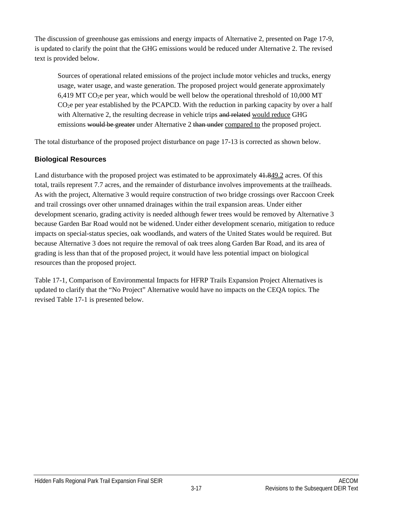The discussion of greenhouse gas emissions and energy impacts of Alternative 2, presented on Page 17-9, is updated to clarify the point that the GHG emissions would be reduced under Alternative 2. The revised text is provided below.

Sources of operational related emissions of the project include motor vehicles and trucks, energy usage, water usage, and waste generation. The proposed project would generate approximately 6,419 MT CO2e per year, which would be well below the operational threshold of 10,000 MT  $CO<sub>2</sub>e$  per year established by the PCAPCD. With the reduction in parking capacity by over a half with Alternative 2, the resulting decrease in vehicle trips and related would reduce GHG emissions would be greater under Alternative 2 than under compared to the proposed project.

The total disturbance of the proposed project disturbance on page 17-13 is corrected as shown below.

#### **Biological Resources**

Land disturbance with the proposed project was estimated to be approximately 41.849.2 acres. Of this total, trails represent 7.7 acres, and the remainder of disturbance involves improvements at the trailheads. As with the project, Alternative 3 would require construction of two bridge crossings over Raccoon Creek and trail crossings over other unnamed drainages within the trail expansion areas. Under either development scenario, grading activity is needed although fewer trees would be removed by Alternative 3 because Garden Bar Road would not be widened. Under either development scenario, mitigation to reduce impacts on special-status species, oak woodlands, and waters of the United States would be required. But because Alternative 3 does not require the removal of oak trees along Garden Bar Road, and its area of grading is less than that of the proposed project, it would have less potential impact on biological resources than the proposed project.

Table 17-1, Comparison of Environmental Impacts for HFRP Trails Expansion Project Alternatives is updated to clarify that the "No Project" Alternative would have no impacts on the CEQA topics. The revised Table 17-1 is presented below.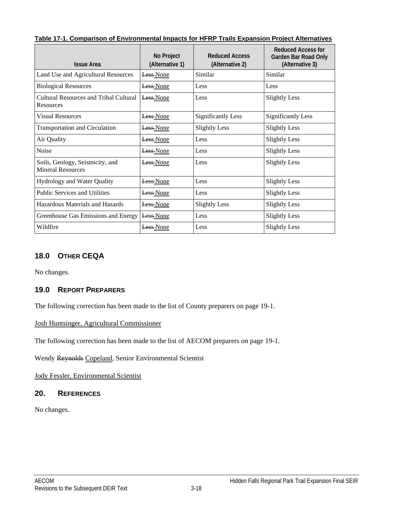<span id="page-17-0"></span>

| Table 17-1. Comparison of Environmental Impacts for HFRP Trails Expansion Project Alternatives |
|------------------------------------------------------------------------------------------------|
|------------------------------------------------------------------------------------------------|

| <b>Issue Area</b>                                           | No Project<br>(Alternative 1) | <b>Reduced Access</b><br>(Alternative 2) | Reduced Access for<br><b>Garden Bar Road Only</b><br>(Alternative 3) |
|-------------------------------------------------------------|-------------------------------|------------------------------------------|----------------------------------------------------------------------|
| Land Use and Agricultural Resources                         | Less-None                     | Similar                                  | Similar                                                              |
| <b>Biological Resources</b>                                 | <b>Less</b> None              | Less                                     | Less                                                                 |
| Cultural Resources and Tribal Cultural<br>Resources         | Less-None                     | Less                                     | <b>Slightly Less</b>                                                 |
| <b>Visual Resources</b>                                     | Less None                     | <b>Significantly Less</b>                | <b>Significantly Less</b>                                            |
| <b>Transportation and Circulation</b>                       | <b>Less</b> None              | <b>Slightly Less</b>                     | <b>Slightly Less</b>                                                 |
| Air Quality                                                 | Less None                     | Less                                     | <b>Slightly Less</b>                                                 |
| Noise                                                       | Less None                     | Less                                     | <b>Slightly Less</b>                                                 |
| Soils, Geology, Seismicity, and<br><b>Mineral Resources</b> | Less None                     | Less                                     | <b>Slightly Less</b>                                                 |
| <b>Hydrology and Water Quality</b>                          | Less-None                     | Less                                     | <b>Slightly Less</b>                                                 |
| <b>Public Services and Utilities</b>                        | Less None                     | Less                                     | <b>Slightly Less</b>                                                 |
| Hazardous Materials and Hazards                             | Less None                     | <b>Slightly Less</b>                     | <b>Slightly Less</b>                                                 |
| Greenhouse Gas Emissions and Energy                         | Less-None                     | Less                                     | <b>Slightly Less</b>                                                 |
| Wildfire                                                    | Less-None                     | Less                                     | <b>Slightly Less</b>                                                 |

## **18.0 OTHER CEQA**

No changes.

#### **19.0 REPORT PREPARERS**

The following correction has been made to the list of County preparers on page 19-1.

#### Josh Huntsinger, Agricultural Commissioner

The following correction has been made to the list of AECOM preparers on page 19-1.

Wendy Reynolds Copeland, Senior Environmental Scientist

Jody Fessler, Environmental Scientist

#### **20. REFERENCES**

No changes.